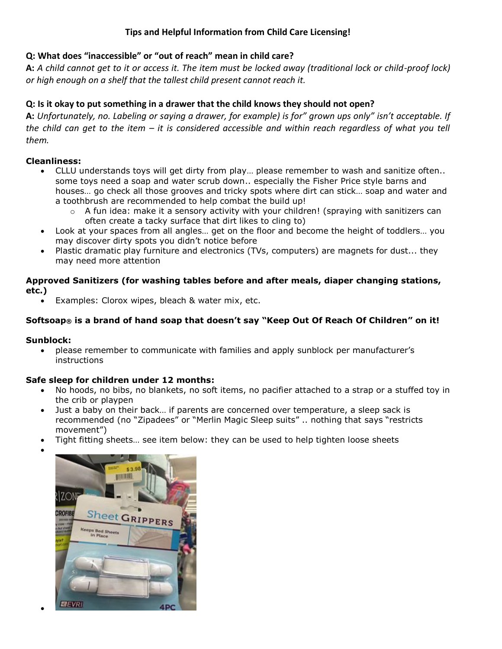# **Tips and Helpful Information from Child Care Licensing!**

## **Q: What does "inaccessible" or "out of reach" mean in child care?**

**A:** *A child cannot get to it or access it. The item must be locked away (traditional lock or child-proof lock) or high enough on a shelf that the tallest child present cannot reach it.*

# **Q: Is it okay to put something in a drawer that the child knows they should not open?**

**A:** *Unfortunately, no. Labeling or saying a drawer, for example) is for" grown ups only" isn't acceptable. If the child can get to the item – it is considered accessible and within reach regardless of what you tell them.*

## **Cleanliness:**

- CLLU understands toys will get dirty from play… please remember to wash and sanitize often.. some toys need a soap and water scrub down.. especially the Fisher Price style barns and houses… go check all those grooves and tricky spots where dirt can stick… soap and water and a toothbrush are recommended to help combat the build up!
	- $\circ$  A fun idea: make it a sensory activity with your children! (spraying with sanitizers can often create a tacky surface that dirt likes to cling to)
- Look at your spaces from all angles… get on the floor and become the height of toddlers… you may discover dirty spots you didn't notice before
- Plastic dramatic play furniture and electronics (TVs, computers) are magnets for dust... they may need more attention

### **Approved Sanitizers (for washing tables before and after meals, diaper changing stations, etc.)**

Examples: Clorox wipes, bleach & water mix, etc.

## **Softsoap® is a brand of hand soap that doesn't say "Keep Out Of Reach Of Children" on it!**

### **Sunblock:**

 $\bullet$ 

 $\bullet$ 

 please remember to communicate with families and apply sunblock per manufacturer's instructions

### **Safe sleep for children under 12 months:**

- No hoods, no bibs, no blankets, no soft items, no pacifier attached to a strap or a stuffed toy in the crib or playpen
- Just a baby on their back… if parents are concerned over temperature, a sleep sack is recommended (no "Zipadees" or "Merlin Magic Sleep suits" .. nothing that says "restricts movement")
- Tight fitting sheets… see item below: they can be used to help tighten loose sheets